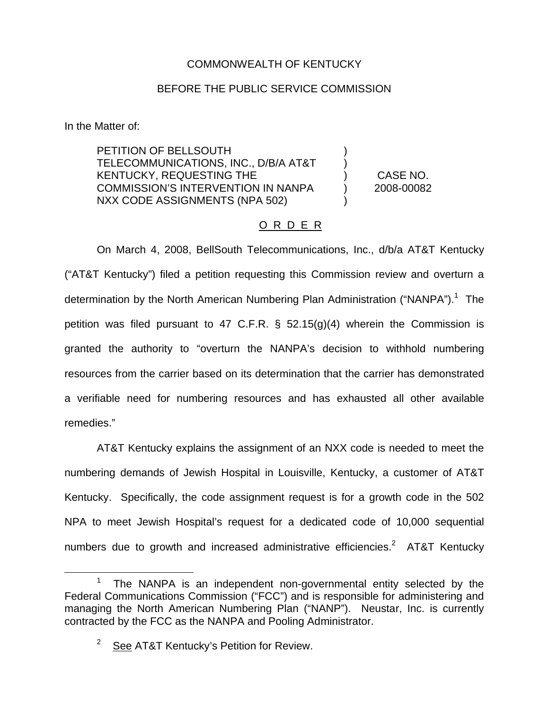## COMMONWEALTH OF KENTUCKY

## BEFORE THE PUBLIC SERVICE COMMISSION

In the Matter of:

PETITION OF BELLSOUTH TELECOMMUNICATIONS, INC., D/B/A AT&T KENTUCKY, REQUESTING THE COMMISSION'S INTERVENTION IN NANPA NXX CODE ASSIGNMENTS (NPA 502)

) CASE NO. ) 2008-00082

) )

)

## O R D E R

On March 4, 2008, BellSouth Telecommunications, Inc., d/b/a AT&T Kentucky ("AT&T Kentucky") filed a petition requesting this Commission review and overturn a determination by the North American Numbering Plan Administration ("NANPA").<sup>1</sup> The petition was filed pursuant to 47 C.F.R. § 52.15(g)(4) wherein the Commission is granted the authority to "overturn the NANPA's decision to withhold numbering resources from the carrier based on its determination that the carrier has demonstrated a verifiable need for numbering resources and has exhausted all other available remedies."

AT&T Kentucky explains the assignment of an NXX code is needed to meet the numbering demands of Jewish Hospital in Louisville, Kentucky, a customer of AT&T Kentucky. Specifically, the code assignment request is for a growth code in the 502 NPA to meet Jewish Hospital's request for a dedicated code of 10,000 sequential numbers due to growth and increased administrative efficiencies.<sup>2</sup> AT&T Kentuckv

The NANPA is an independent non-governmental entity selected by the Federal Communications Commission ("FCC") and is responsible for administering and managing the North American Numbering Plan ("NANP"). Neustar, Inc. is currently contracted by the FCC as the NANPA and Pooling Administrator.

 $2^{2}$  See AT&T Kentucky's Petition for Review.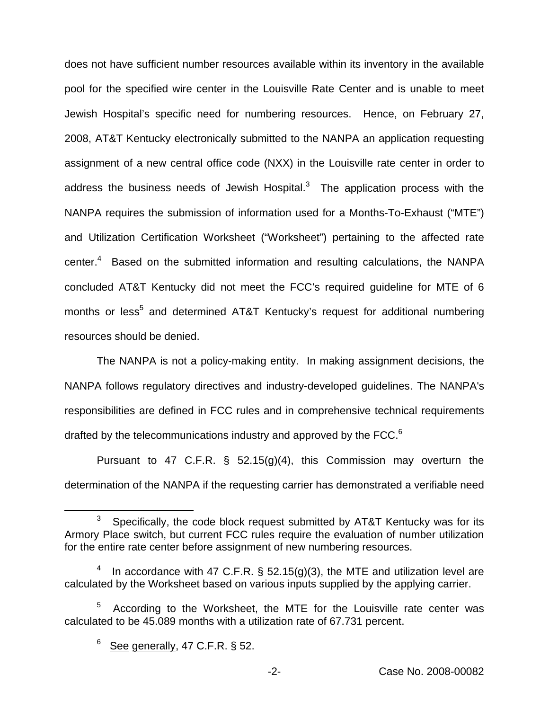does not have sufficient number resources available within its inventory in the available pool for the specified wire center in the Louisville Rate Center and is unable to meet Jewish Hospital's specific need for numbering resources. Hence, on February 27, 2008, AT&T Kentucky electronically submitted to the NANPA an application requesting assignment of a new central office code (NXX) in the Louisville rate center in order to address the business needs of Jewish Hospital. $3$  The application process with the NANPA requires the submission of information used for a Months-To-Exhaust ("MTE") and Utilization Certification Worksheet ("Worksheet") pertaining to the affected rate center.<sup>4</sup> Based on the submitted information and resulting calculations, the NANPA concluded AT&T Kentucky did not meet the FCC's required guideline for MTE of 6 months or less<sup>5</sup> and determined AT&T Kentucky's request for additional numbering resources should be denied.

The NANPA is not a policy-making entity. In making assignment decisions, the NANPA follows regulatory directives and industry-developed guidelines. The NANPA's responsibilities are defined in FCC rules and in comprehensive technical requirements drafted by the telecommunications industry and approved by the FCC.<sup>6</sup>

Pursuant to 47 C.F.R.  $\frac{6}{5}$  52.15(g)(4), this Commission may overturn the determination of the NANPA if the requesting carrier has demonstrated a verifiable need

 $3$  Specifically, the code block request submitted by AT&T Kentucky was for its Armory Place switch, but current FCC rules require the evaluation of number utilization for the entire rate center before assignment of new numbering resources.

In accordance with 47 C.F.R.  $\S$  52.15(g)(3), the MTE and utilization level are calculated by the Worksheet based on various inputs supplied by the applying carrier.

 $5$  According to the Worksheet, the MTE for the Louisville rate center was calculated to be 45.089 months with a utilization rate of 67.731 percent.

 $6$  See generally, 47 C.F.R. § 52.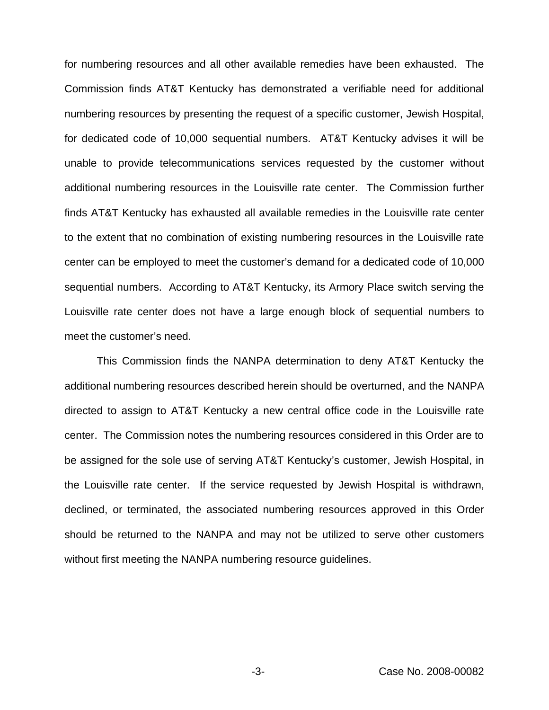for numbering resources and all other available remedies have been exhausted. The Commission finds AT&T Kentucky has demonstrated a verifiable need for additional numbering resources by presenting the request of a specific customer, Jewish Hospital, for dedicated code of 10,000 sequential numbers. AT&T Kentucky advises it will be unable to provide telecommunications services requested by the customer without additional numbering resources in the Louisville rate center. The Commission further finds AT&T Kentucky has exhausted all available remedies in the Louisville rate center to the extent that no combination of existing numbering resources in the Louisville rate center can be employed to meet the customer's demand for a dedicated code of 10,000 sequential numbers. According to AT&T Kentucky, its Armory Place switch serving the Louisville rate center does not have a large enough block of sequential numbers to meet the customer's need.

This Commission finds the NANPA determination to deny AT&T Kentucky the additional numbering resources described herein should be overturned, and the NANPA directed to assign to AT&T Kentucky a new central office code in the Louisville rate center. The Commission notes the numbering resources considered in this Order are to be assigned for the sole use of serving AT&T Kentucky's customer, Jewish Hospital, in the Louisville rate center. If the service requested by Jewish Hospital is withdrawn, declined, or terminated, the associated numbering resources approved in this Order should be returned to the NANPA and may not be utilized to serve other customers without first meeting the NANPA numbering resource guidelines.